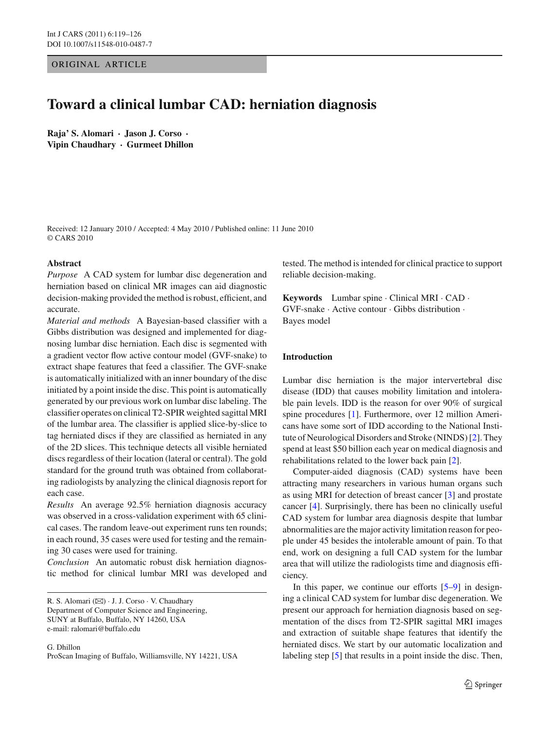ORIGINAL ARTICLE

# **Toward a clinical lumbar CAD: herniation diagnosis**

**Raja' S. Alomari · Jason J. Corso · Vipin Chaudhary · Gurmeet Dhillon**

Received: 12 January 2010 / Accepted: 4 May 2010 / Published online: 11 June 2010 © CARS 2010

# **Abstract**

*Purpose* A CAD system for lumbar disc degeneration and herniation based on clinical MR images can aid diagnostic decision-making provided the method is robust, efficient, and accurate.

*Material and methods* A Bayesian-based classifier with a Gibbs distribution was designed and implemented for diagnosing lumbar disc herniation. Each disc is segmented with a gradient vector flow active contour model (GVF-snake) to extract shape features that feed a classifier. The GVF-snake is automatically initialized with an inner boundary of the disc initiated by a point inside the disc. This point is automatically generated by our previous work on lumbar disc labeling. The classifier operates on clinical T2-SPIR weighted sagittal MRI of the lumbar area. The classifier is applied slice-by-slice to tag herniated discs if they are classified as herniated in any of the 2D slices. This technique detects all visible herniated discs regardless of their location (lateral or central). The gold standard for the ground truth was obtained from collaborating radiologists by analyzing the clinical diagnosis report for each case.

*Results* An average 92.5% herniation diagnosis accuracy was observed in a cross-validation experiment with 65 clinical cases. The random leave-out experiment runs ten rounds; in each round, 35 cases were used for testing and the remaining 30 cases were used for training.

*Conclusion* An automatic robust disk herniation diagnostic method for clinical lumbar MRI was developed and

R. S. Alomari (B) · J. J. Corso · V. Chaudhary Department of Computer Science and Engineering, SUNY at Buffalo, Buffalo, NY 14260, USA e-mail: ralomari@buffalo.edu

G. Dhillon ProScan Imaging of Buffalo, Williamsville, NY 14221, USA tested. The method is intended for clinical practice to support reliable decision-making.

**Keywords** Lumbar spine · Clinical MRI · CAD · GVF-snake · Active contour · Gibbs distribution · Bayes model

# **Introduction**

Lumbar disc herniation is the major intervertebral disc disease (IDD) that causes mobility limitation and intolerable pain levels. IDD is the reason for over 90% of surgical spine procedures [\[1](#page-7-0)]. Furthermore, over 12 million Americans have some sort of IDD according to the National Institute of Neurological Disorders and Stroke (NINDS) [\[2\]](#page-7-1). They spend at least \$50 billion each year on medical diagnosis and rehabilitations related to the lower back pain [\[2](#page-7-1)].

Computer-aided diagnosis (CAD) systems have been attracting many researchers in various human organs such as using MRI for detection of breast cancer [\[3\]](#page-7-2) and prostate cancer [\[4](#page-7-3)]. Surprisingly, there has been no clinically useful CAD system for lumbar area diagnosis despite that lumbar abnormalities are the major activity limitation reason for people under 45 besides the intolerable amount of pain. To that end, work on designing a full CAD system for the lumbar area that will utilize the radiologists time and diagnosis efficiency.

In this paper, we continue our efforts  $[5-9]$  $[5-9]$  in designing a clinical CAD system for lumbar disc degeneration. We present our approach for herniation diagnosis based on segmentation of the discs from T2-SPIR sagittal MRI images and extraction of suitable shape features that identify the herniated discs. We start by our automatic localization and labeling step [\[5\]](#page-7-4) that results in a point inside the disc. Then,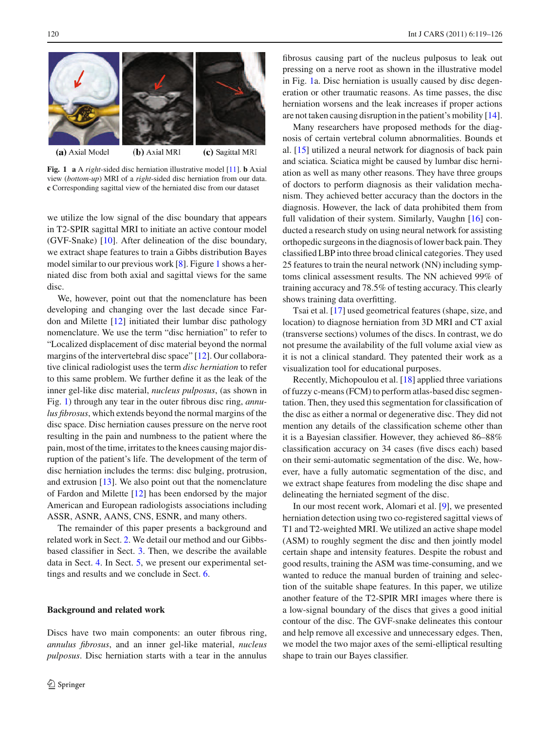

<span id="page-1-0"></span>**Fig. 1 a** A *right*-sided disc herniation illustrative model [\[11\]](#page-7-6). **b** Axial view (*bottom-up*) MRI of a *right*-sided disc herniation from our data. **c** Corresponding sagittal view of the herniated disc from our dataset

we utilize the low signal of the disc boundary that appears in T2-SPIR sagittal MRI to initiate an active contour model (GVF-Snake) [\[10\]](#page-7-7). After delineation of the disc boundary, we extract shape features to train a Gibbs distribution Bayes model similar to our previous work [\[8](#page-7-8)]. Figure [1](#page-1-0) shows a herniated disc from both axial and sagittal views for the same disc.

We, however, point out that the nomenclature has been developing and changing over the last decade since Fardon and Milette [\[12](#page-7-9)] initiated their lumbar disc pathology nomenclature. We use the term "disc herniation" to refer to "Localized displacement of disc material beyond the normal margins of the intervertebral disc space" [\[12\]](#page-7-9). Our collaborative clinical radiologist uses the term *disc herniation* to refer to this same problem. We further define it as the leak of the inner gel-like disc material, *nucleus pulposus*, (as shown in Fig. [1\)](#page-1-0) through any tear in the outer fibrous disc ring, *annulus fibrosus*, which extends beyond the normal margins of the disc space. Disc herniation causes pressure on the nerve root resulting in the pain and numbness to the patient where the pain, most of the time, irritates to the knees causing major disruption of the patient's life. The development of the term of disc herniation includes the terms: disc bulging, protrusion, and extrusion  $[13]$ . We also point out that the nomenclature of Fardon and Milette [\[12](#page-7-9)] has been endorsed by the major American and European radiologists associations including ASSR, ASNR, AANS, CNS, ESNR, and many others.

The remainder of this paper presents a background and related work in Sect. [2.](#page-1-1) We detail our method and our Gibbsbased classifier in Sect. [3.](#page-2-0) Then, we describe the available data in Sect. [4.](#page-4-0) In Sect. [5,](#page-4-1) we present our experimental settings and results and we conclude in Sect. [6.](#page-6-0)

### <span id="page-1-1"></span>**Background and related work**

Discs have two main components: an outer fibrous ring, *annulus fibrosus*, and an inner gel-like material, *nucleus pulposus*. Disc herniation starts with a tear in the annulus

fibrosus causing part of the nucleus pulposus to leak out pressing on a nerve root as shown in the illustrative model in Fig. [1a](#page-1-0). Disc herniation is usually caused by disc degeneration or other traumatic reasons. As time passes, the disc herniation worsens and the leak increases if proper actions are not taken causing disruption in the patient's mobility [\[14](#page-7-11)].

Many researchers have proposed methods for the diagnosis of certain vertebral column abnormalities. Bounds et al. [\[15\]](#page-7-12) utilized a neural network for diagnosis of back pain and sciatica. Sciatica might be caused by lumbar disc herniation as well as many other reasons. They have three groups of doctors to perform diagnosis as their validation mechanism. They achieved better accuracy than the doctors in the diagnosis. However, the lack of data prohibited them from full validation of their system. Similarly, Vaughn [\[16](#page-7-13)] conducted a research study on using neural network for assisting orthopedic surgeons in the diagnosis of lower back pain. They classified LBP into three broad clinical categories. They used 25 features to train the neural network (NN) including symptoms clinical assessment results. The NN achieved 99% of training accuracy and 78.5% of testing accuracy. This clearly shows training data overfitting.

Tsai et al. [\[17\]](#page-7-14) used geometrical features (shape, size, and location) to diagnose herniation from 3D MRI and CT axial (transverse sections) volumes of the discs. In contrast, we do not presume the availability of the full volume axial view as it is not a clinical standard. They patented their work as a visualization tool for educational purposes.

Recently, Michopoulou et al. [\[18\]](#page-7-15) applied three variations of fuzzy c-means (FCM) to perform atlas-based disc segmentation. Then, they used this segmentation for classification of the disc as either a normal or degenerative disc. They did not mention any details of the classification scheme other than it is a Bayesian classifier. However, they achieved 86–88% classification accuracy on 34 cases (five discs each) based on their semi-automatic segmentation of the disc. We, however, have a fully automatic segmentation of the disc, and we extract shape features from modeling the disc shape and delineating the herniated segment of the disc.

In our most recent work, Alomari et al. [\[9\]](#page-7-5), we presented herniation detection using two co-registered sagittal views of T1 and T2-weighted MRI. We utilized an active shape model (ASM) to roughly segment the disc and then jointly model certain shape and intensity features. Despite the robust and good results, training the ASM was time-consuming, and we wanted to reduce the manual burden of training and selection of the suitable shape features. In this paper, we utilize another feature of the T2-SPIR MRI images where there is a low-signal boundary of the discs that gives a good initial contour of the disc. The GVF-snake delineates this contour and help remove all excessive and unnecessary edges. Then, we model the two major axes of the semi-elliptical resulting shape to train our Bayes classifier.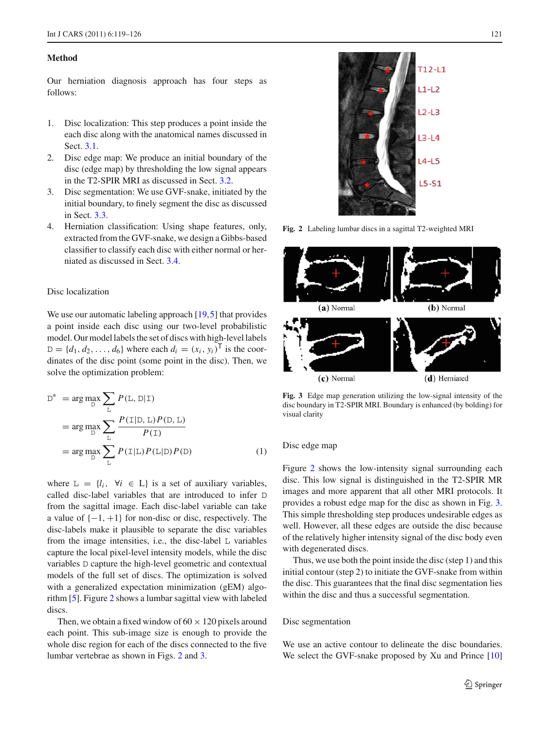#### <span id="page-2-0"></span>**Method**

Our herniation diagnosis approach has four steps as follows:

- 1. Disc localization: This step produces a point inside the each disc along with the anatomical names discussed in Sect. [3.1.](#page-2-1)
- 2. Disc edge map: We produce an initial boundary of the disc (edge map) by thresholding the low signal appears in the T2-SPIR MRI as discussed in Sect. [3.2.](#page-2-2)
- 3. Disc segmentation: We use GVF-snake, initiated by the initial boundary, to finely segment the disc as discussed in Sect. [3.3.](#page-2-3)
- 4. Herniation classification: Using shape features, only, extracted from the GVF-snake, we design a Gibbs-based classifier to classify each disc with either normal or herniated as discussed in Sect. [3.4.](#page-3-0)

## <span id="page-2-1"></span>Disc localization

We use our automatic labeling approach [\[19](#page-7-16)[,5](#page-7-4)] that provides a point inside each disc using our two-level probabilistic model. Our model labels the set of discs with high-level labels  $D = \{d_1, d_2, ..., d_6\}$  where each  $d_i = (x_i, y_i)^T$  is the coordinates of the disc point (some point in the disc). Then, we solve the optimization problem:

$$
D^* = \arg \max_{D} \sum_{L} P(L, D|T)
$$
  
= 
$$
\arg \max_{D} \sum_{L} \frac{P(T|D, L) P(D, L)}{P(T)}
$$
  
= 
$$
\arg \max_{D} \sum_{L} P(T|L) P(L|D) P(D)
$$
 (1)

where  $L = \{l_i, \forall i \in L\}$  is a set of auxiliary variables, called disc-label variables that are introduced to infer D from the sagittal image. Each disc-label variable can take a value of  $\{-1, +1\}$  for non-disc or disc, respectively. The disc-labels make it plausible to separate the disc variables from the image intensities, i.e., the disc-label L variables capture the local pixel-level intensity models, while the disc variables D capture the high-level geometric and contextual models of the full set of discs. The optimization is solved with a generalized expectation minimization (gEM) algorithm [\[5\]](#page-7-4). Figure [2](#page-2-4) shows a lumbar sagittal view with labeled discs.

Then, we obtain a fixed window of  $60 \times 120$  pixels around each point. This sub-image size is enough to provide the whole disc region for each of the discs connected to the five lumbar vertebrae as shown in Figs. [2](#page-2-4) and [3.](#page-2-5)

 $T12 - 11$  $L1-L2$  $L2-L3$  $13 - 14$  $4 - 15$  $L5-51$ 

**Fig. 2** Labeling lumbar discs in a sagittal T2-weighted MRI

<span id="page-2-4"></span>

<span id="page-2-5"></span>**Fig. 3** Edge map generation utilizing the low-signal intensity of the disc boundary in T2-SPIR MRI. Boundary is enhanced (by bolding) for visual clarity

# <span id="page-2-2"></span>Disc edge map

Figure [2](#page-2-4) shows the low-intensity signal surrounding each disc. This low signal is distinguished in the T2-SPIR MR images and more apparent that all other MRI protocols. It provides a robust edge map for the disc as shown in Fig. [3.](#page-2-5) This simple thresholding step produces undesirable edges as well. However, all these edges are outside the disc because of the relatively higher intensity signal of the disc body even with degenerated discs.

Thus, we use both the point inside the disc (step 1) and this initial contour (step 2) to initiate the GVF-snake from within the disc. This guarantees that the final disc segmentation lies within the disc and thus a successful segmentation.

#### <span id="page-2-3"></span>Disc segmentation

We use an active contour to delineate the disc boundaries. We select the GVF-snake proposed by Xu and Prince [\[10\]](#page-7-7)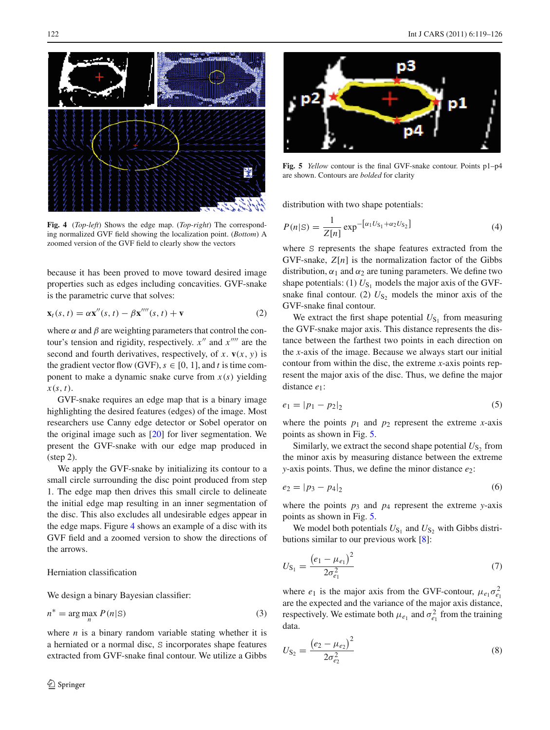¥

<span id="page-3-1"></span>**Fig. 4** (*Top-left*) Shows the edge map. (*Top-right*) The corresponding normalized GVF field showing the localization point. (*Bottom*) A zoomed version of the GVF field to clearly show the vectors

because it has been proved to move toward desired image properties such as edges including concavities. GVF-snake is the parametric curve that solves:

$$
\mathbf{x}_t(s,t) = \alpha \mathbf{x}''(s,t) - \beta \mathbf{x}''''(s,t) + \mathbf{v}
$$
 (2)

where  $\alpha$  and  $\beta$  are weighting parameters that control the contour's tension and rigidity, respectively.  $x''$  and  $x''''$  are the second and fourth derivatives, respectively, of  $x$ .  $\mathbf{v}(x, y)$  is the gradient vector flow (GVF),  $s \in [0, 1]$ , and *t* is time component to make a dynamic snake curve from  $x(s)$  yielding *x*(*s*, *t*).

GVF-snake requires an edge map that is a binary image highlighting the desired features (edges) of the image. Most researchers use Canny edge detector or Sobel operator on the original image such as [\[20\]](#page-7-17) for liver segmentation. We present the GVF-snake with our edge map produced in (step 2).

We apply the GVF-snake by initializing its contour to a small circle surrounding the disc point produced from step 1. The edge map then drives this small circle to delineate the initial edge map resulting in an inner segmentation of the disc. This also excludes all undesirable edges appear in the edge maps. Figure [4](#page-3-1) shows an example of a disc with its GVF field and a zoomed version to show the directions of the arrows.

# <span id="page-3-0"></span>Herniation classification

We design a binary Bayesian classifier:

$$
n^* = \arg\max_{n} P(n|\mathbf{S})
$$
 (3)

where  $n$  is a binary random variable stating whether it is a herniated or a normal disc, S incorporates shape features extracted from GVF-snake final contour. We utilize a Gibbs



<span id="page-3-2"></span>**Fig. 5** *Yellow* contour is the final GVF-snake contour. Points p1–p4 are shown. Contours are *bolded* for clarity

distribution with two shape potentials:

$$
P(n|S) = \frac{1}{Z[n]} \exp^{-\left[\alpha_1 U_{S_1} + \alpha_2 U_{S_2}\right]}
$$
(4)

where S represents the shape features extracted from the GVF-snake,  $Z[n]$  is the normalization factor of the Gibbs distribution,  $\alpha_1$  and  $\alpha_2$  are tuning parameters. We define two shape potentials: (1)  $U_{S_1}$  models the major axis of the GVFsnake final contour. (2)  $U_{S_2}$  models the minor axis of the GVF-snake final contour.

We extract the first shape potential  $U_{S_1}$  from measuring the GVF-snake major axis. This distance represents the distance between the farthest two points in each direction on the *x*-axis of the image. Because we always start our initial contour from within the disc, the extreme *x*-axis points represent the major axis of the disc. Thus, we define the major distance *e*1:

$$
e_1 = |p_1 - p_2|_2 \tag{5}
$$

where the points  $p_1$  and  $p_2$  represent the extreme *x*-axis points as shown in Fig. [5.](#page-3-2)

Similarly, we extract the second shape potential  $U_{S_2}$  from the minor axis by measuring distance between the extreme *y*-axis points. Thus, we define the minor distance  $e_2$ :

$$
e_2 = |p_3 - p_4|_2 \tag{6}
$$

where the points  $p_3$  and  $p_4$  represent the extreme *y*-axis points as shown in Fig. [5.](#page-3-2)

We model both potentials  $U_{S_1}$  and  $U_{S_2}$  with Gibbs distributions similar to our previous work [\[8\]](#page-7-8):

$$
U_{\mathcal{S}_1} = \frac{\left(e_1 - \mu_{e_1}\right)^2}{2\sigma_{e_1}^2} \tag{7}
$$

where  $e_1$  is the major axis from the GVF-contour,  $\mu_{e_1} \sigma_{e_1}^2$ are the expected and the variance of the major axis distance, respectively. We estimate both  $\mu_{e_1}$  and  $\sigma_{e_1}^2$  from the training data.

$$
U_{\text{S}_2} = \frac{\left(e_2 - \mu_{e_2}\right)^2}{2\sigma_{e_2}^2} \tag{8}
$$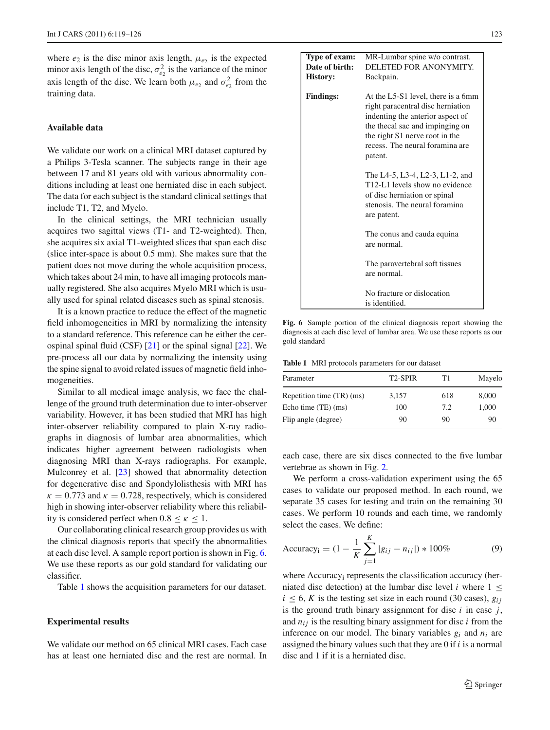where  $e_2$  is the disc minor axis length,  $\mu_{e_2}$  is the expected minor axis length of the disc,  $\sigma_{e_2}^2$  is the variance of the minor axis length of the disc. We learn both  $\mu_{e_2}$  and  $\sigma_{e_2}^2$  from the training data.

# <span id="page-4-0"></span>**Available data**

We validate our work on a clinical MRI dataset captured by a Philips 3-Tesla scanner. The subjects range in their age between 17 and 81 years old with various abnormality conditions including at least one herniated disc in each subject. The data for each subject is the standard clinical settings that include T1, T2, and Myelo.

In the clinical settings, the MRI technician usually acquires two sagittal views (T1- and T2-weighted). Then, she acquires six axial T1-weighted slices that span each disc (slice inter-space is about 0.5 mm). She makes sure that the patient does not move during the whole acquisition process, which takes about 24 min, to have all imaging protocols manually registered. She also acquires Myelo MRI which is usually used for spinal related diseases such as spinal stenosis.

It is a known practice to reduce the effect of the magnetic field inhomogeneities in MRI by normalizing the intensity to a standard reference. This reference can be either the cerospinal spinal fluid (CSF)  $[21]$  or the spinal signal  $[22]$ . We pre-process all our data by normalizing the intensity using the spine signal to avoid related issues of magnetic field inhomogeneities.

Similar to all medical image analysis, we face the challenge of the ground truth determination due to inter-observer variability. However, it has been studied that MRI has high inter-observer reliability compared to plain X-ray radiographs in diagnosis of lumbar area abnormalities, which indicates higher agreement between radiologists when diagnosing MRI than X-rays radiographs. For example, Mulconrey et al. [\[23](#page-7-20)] showed that abnormality detection for degenerative disc and Spondylolisthesis with MRI has  $\kappa = 0.773$  and  $\kappa = 0.728$ , respectively, which is considered high in showing inter-observer reliability where this reliability is considered perfect when  $0.8 \le \kappa \le 1$ .

Our collaborating clinical research group provides us with the clinical diagnosis reports that specify the abnormalities at each disc level. A sample report portion is shown in Fig. [6.](#page-4-2) We use these reports as our gold standard for validating our classifier.

Table [1](#page-4-3) shows the acquisition parameters for our dataset.

## <span id="page-4-1"></span>**Experimental results**

We validate our method on 65 clinical MRI cases. Each case has at least one herniated disc and the rest are normal. In

| Type of exam:<br>Date of birth:<br><b>History:</b> | MR-Lumbar spine w/o contrast.<br>DELETED FOR ANONYMITY.<br>Backpain.                                                                                                                                                           |  |  |
|----------------------------------------------------|--------------------------------------------------------------------------------------------------------------------------------------------------------------------------------------------------------------------------------|--|--|
| <b>Findings:</b>                                   | At the L5-S1 level, there is a 6mm<br>right paracentral disc herniation<br>indenting the anterior aspect of<br>the thecal sac and impinging on<br>the right S1 nerve root in the<br>recess. The neural foramina are<br>patent. |  |  |
|                                                    | The L4-5, L3-4, L2-3, L1-2, and<br>T <sub>12</sub> -L <sub>1</sub> levels show no evidence<br>of disc herniation or spinal<br>stenosis. The neural foramina<br>are patent.                                                     |  |  |
|                                                    | The conus and cauda equina<br>are normal.                                                                                                                                                                                      |  |  |
|                                                    | The paravertebral soft tissues<br>are normal.                                                                                                                                                                                  |  |  |
|                                                    | No fracture or dislocation<br>is identified.                                                                                                                                                                                   |  |  |

<span id="page-4-2"></span>**Fig. 6** Sample portion of the clinical diagnosis report showing the diagnosis at each disc level of lumbar area. We use these reports as our gold standard

<span id="page-4-3"></span>**Table 1** MRI protocols parameters for our dataset

| Parameter                 | T <sub>2</sub> -SPIR | T1  | Mayelo |  |
|---------------------------|----------------------|-----|--------|--|
| Repetition time (TR) (ms) | 3,157                | 618 | 8,000  |  |
| Echo time (TE) (ms)       | 100                  | 7.2 | 1,000  |  |
| Flip angle (degree)       | 90                   | 90  | 90     |  |

each case, there are six discs connected to the five lumbar vertebrae as shown in Fig. [2.](#page-2-4)

We perform a cross-validation experiment using the 65 cases to validate our proposed method. In each round, we separate 35 cases for testing and train on the remaining 30 cases. We perform 10 rounds and each time, we randomly select the cases. We define:

Accuracy<sub>i</sub> = 
$$
(1 - \frac{1}{K} \sum_{j=1}^{K} |g_{ij} - n_{ij}|) * 100\%
$$
 (9)

where Accuracy<sub>i</sub> represents the classification accuracy (herniated disc detection) at the lumbar disc level *i* where  $1 \leq$  $i \leq 6$ , *K* is the testing set size in each round (30 cases),  $g_{ii}$ is the ground truth binary assignment for disc *i* in case *j*, and  $n_{ij}$  is the resulting binary assignment for disc  $i$  from the inference on our model. The binary variables *gi* and *ni* are assigned the binary values such that they are 0 if *i* is a normal disc and 1 if it is a herniated disc.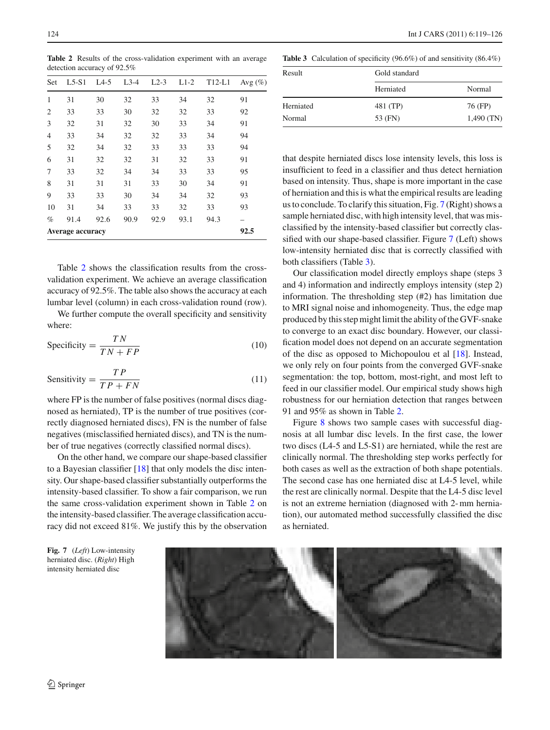<span id="page-5-0"></span>**Table 2** Results of the cross-validation experiment with an average detection accuracy of 92.5%

| Set                     | $L5-S1$ | $L4-5$ | $L3-4$ | $L2-3$ | $L1-2$ | $T12-L1$ | Avg $(\%)$ |
|-------------------------|---------|--------|--------|--------|--------|----------|------------|
| 1                       | 31      | 30     | 32     | 33     | 34     | 32       | 91         |
| $\overline{2}$          | 33      | 33     | 30     | 32     | 32     | 33       | 92         |
| 3                       | 32      | 31     | 32     | 30     | 33     | 34       | 91         |
| $\overline{4}$          | 33      | 34     | 32     | 32     | 33     | 34       | 94         |
| 5                       | 32      | 34     | 32     | 33     | 33     | 33       | 94         |
| 6                       | 31      | 32     | 32     | 31     | 32     | 33       | 91         |
| 7                       | 33      | 32     | 34     | 34     | 33     | 33       | 95         |
| 8                       | 31      | 31     | 31     | 33     | 30     | 34       | 91         |
| 9                       | 33      | 33     | 30     | 34     | 34     | 32       | 93         |
| 10                      | 31      | 34     | 33     | 33     | 32     | 33       | 93         |
| $\%$                    | 91.4    | 92.6   | 90.9   | 92.9   | 93.1   | 94.3     |            |
| <b>Average accuracy</b> |         |        |        |        |        |          | 92.5       |

Table [2](#page-5-0) shows the classification results from the crossvalidation experiment. We achieve an average classification accuracy of 92.5%. The table also shows the accuracy at each lumbar level (column) in each cross-validation round (row).

We further compute the overall specificity and sensitivity where:

$$
Specificity = \frac{TN}{TN + FP}
$$
 (10)

$$
Sensitivity = \frac{TP}{TP + FN}
$$
 (11)

where FP is the number of false positives (normal discs diagnosed as herniated), TP is the number of true positives (correctly diagnosed herniated discs), FN is the number of false negatives (misclassified herniated discs), and TN is the number of true negatives (correctly classified normal discs).

On the other hand, we compare our shape-based classifier to a Bayesian classifier [\[18](#page-7-15)] that only models the disc intensity. Our shape-based classifier substantially outperforms the intensity-based classifier. To show a fair comparison, we run the same cross-validation experiment shown in Table [2](#page-5-0) on the intensity-based classifier. The average classification accuracy did not exceed 81%. We justify this by the observation

124 Int J CARS (2011) 6:119–126

<span id="page-5-2"></span>**Table 3** Calculation of specificity (96.6%) of and sensitivity (86.4%)

| Result    | Gold standard |              |  |  |
|-----------|---------------|--------------|--|--|
|           | Herniated     | Normal       |  |  |
| Herniated | 481 (TP)      | 76 (FP)      |  |  |
| Normal    | 53 (FN)       | $1,490$ (TN) |  |  |

that despite herniated discs lose intensity levels, this loss is insufficient to feed in a classifier and thus detect herniation based on intensity. Thus, shape is more important in the case of herniation and this is what the empirical results are leading us to conclude. To clarify this situation, Fig. [7](#page-5-1) (Right) shows a sample herniated disc, with high intensity level, that was misclassified by the intensity-based classifier but correctly classified with our shape-based classifier. Figure [7](#page-5-1) (Left) shows low-intensity herniated disc that is correctly classified with both classifiers (Table [3\)](#page-5-2).

Our classification model directly employs shape (steps 3 and 4) information and indirectly employs intensity (step 2) information. The thresholding step (#2) has limitation due to MRI signal noise and inhomogeneity. Thus, the edge map produced by this step might limit the ability of the GVF-snake to converge to an exact disc boundary. However, our classification model does not depend on an accurate segmentation of the disc as opposed to Michopoulou et al [\[18\]](#page-7-15). Instead, we only rely on four points from the converged GVF-snake segmentation: the top, bottom, most-right, and most left to feed in our classifier model. Our empirical study shows high robustness for our herniation detection that ranges between 91 and 95% as shown in Table [2.](#page-5-0)

Figure [8](#page-6-1) shows two sample cases with successful diagnosis at all lumbar disc levels. In the first case, the lower two discs (L4-5 and L5-S1) are herniated, while the rest are clinically normal. The thresholding step works perfectly for both cases as well as the extraction of both shape potentials. The second case has one herniated disc at L4-5 level, while the rest are clinically normal. Despite that the L4-5 disc level is not an extreme herniation (diagnosed with 2- mm herniation), our automated method successfully classified the disc as herniated.

<span id="page-5-1"></span>**Fig. 7** (*Left*) Low-intensity herniated disc. (*Right*) High intensity herniated disc

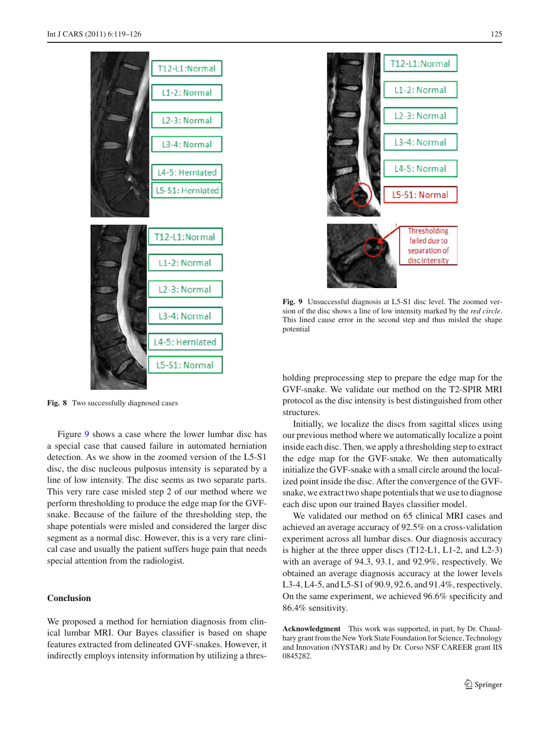

<span id="page-6-1"></span>Fig. 8 Two successfully diagnosed cases

Figure [9](#page-6-2) shows a case where the lower lumbar disc has a special case that caused failure in automated herniation detection. As we show in the zoomed version of the L5-S1 disc, the disc nucleous pulposus intensity is separated by a line of low intensity. The disc seems as two separate parts. This very rare case misled step 2 of our method where we perform thresholding to produce the edge map for the GVFsnake. Because of the failure of the thresholding step, the shape potentials were misled and considered the larger disc segment as a normal disc. However, this is a very rare clinical case and usually the patient suffers huge pain that needs special attention from the radiologist.

# <span id="page-6-0"></span>**Conclusion**

We proposed a method for herniation diagnosis from clinical lumbar MRI. Our Bayes classifier is based on shape features extracted from delineated GVF-snakes. However, it indirectly employs intensity information by utilizing a thres-



<span id="page-6-2"></span>**Fig. 9** Unsuccessful diagnosis at L5-S1 disc level. The zoomed version of the disc shows a line of low intensity marked by the *red circle*. This lined cause error in the second step and thus misled the shape potential

holding preprocessing step to prepare the edge map for the GVF-snake. We validate our method on the T2-SPIR MRI protocol as the disc intensity is best distinguished from other structures.

Initially, we localize the discs from sagittal slices using our previous method where we automatically localize a point inside each disc. Then, we apply a thresholding step to extract the edge map for the GVF-snake. We then automatically initialize the GVF-snake with a small circle around the localized point inside the disc. After the convergence of the GVFsnake, we extract two shape potentials that we use to diagnose each disc upon our trained Bayes classifier model.

We validated our method on 65 clinical MRI cases and achieved an average accuracy of 92.5% on a cross-validation experiment across all lumbar discs. Our diagnosis accuracy is higher at the three upper discs (T12-L1, L1-2, and L2-3) with an average of 94.3, 93.1, and 92.9%, respectively. We obtained an average diagnosis accuracy at the lower levels L3-4, L4-5, and L5-S1 of 90.9, 92.6, and 91.4%, respectively. On the same experiment, we achieved 96.6% specificity and 86.4% sensitivity.

**Acknowledgment** This work was supported, in part, by Dr. Chaudhary grant from the New York State Foundation for Science, Technology and Innovation (NYSTAR) and by Dr. Corso NSF CAREER grant IIS 0845282.